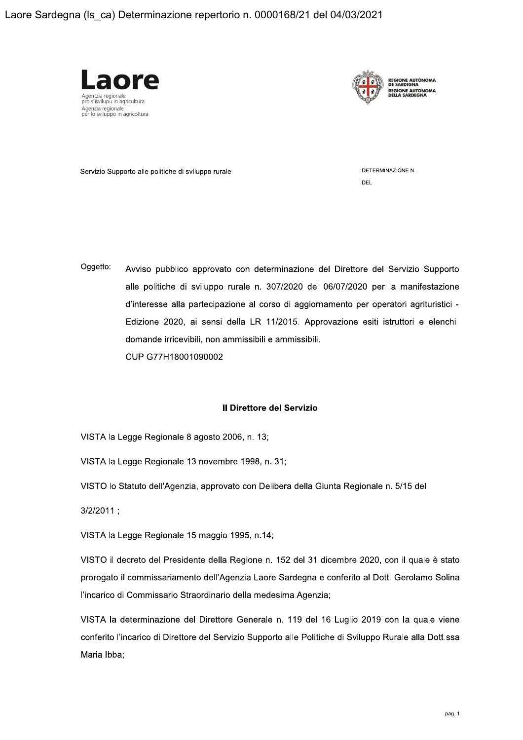



Servizio Supporto alle politiche di sviluppo rurale

DETERMINAZIONE N. DEL

Oggetto: Avviso pubblico approvato con determinazione del Direttore del Servizio Supporto alle politiche di sviluppo rurale n. 307/2020 del 06/07/2020 per la manifestazione d'interesse alla partecipazione al corso di aggiornamento per operatori agrituristici -Edizione 2020, ai sensi della LR 11/2015. Approvazione esiti istruttori e elenchi domande irricevibili, non ammissibili e ammissibili. CUP G77H18001090002

# Il Direttore del Servizio

VISTA la Legge Regionale 8 agosto 2006, n. 13;

VISTA la Legge Regionale 13 novembre 1998, n. 31;

VISTO lo Statuto dell'Agenzia, approvato con Delibera della Giunta Regionale n. 5/15 del

 $3/2/2011$ ;

VISTA la Legge Regionale 15 maggio 1995, n.14;

VISTO il decreto del Presidente della Regione n. 152 del 31 dicembre 2020, con il quale è stato prorogato il commissariamento dell'Agenzia Laore Sardegna e conferito al Dott. Gerolamo Solina l'incarico di Commissario Straordinario della medesima Agenzia;

VISTA la determinazione del Direttore Generale n. 119 del 16 Luglio 2019 con la quale viene conferito l'incarico di Direttore del Servizio Supporto alle Politiche di Sviluppo Rurale alla Dott.ssa Maria Ibba;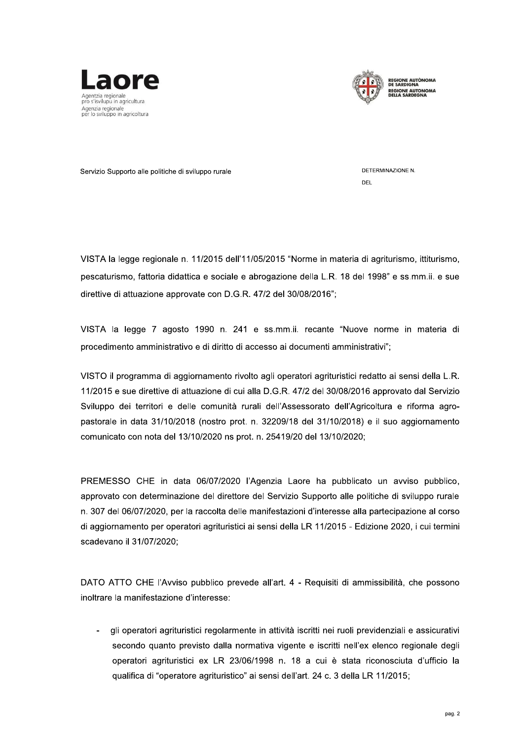



Servizio Supporto alle politiche di sviluppo rurale

DETERMINAZIONE N. DEL

VISTA la legge regionale n. 11/2015 dell'11/05/2015 "Norme in materia di agriturismo, ittiturismo, pescaturismo, fattoria didattica e sociale e abrogazione della L.R. 18 del 1998" e ss.mm.ii. e sue direttive di attuazione approvate con D.G.R. 47/2 del 30/08/2016":

VISTA la legge 7 agosto 1990 n. 241 e ss.mm.ii. recante "Nuove norme in materia di procedimento amministrativo e di diritto di accesso ai documenti amministrativi";

VISTO il programma di aggiornamento rivolto agli operatori agrituristici redatto ai sensi della L.R. 11/2015 e sue direttive di attuazione di cui alla D.G.R. 47/2 del 30/08/2016 approvato dal Servizio Sviluppo dei territori e delle comunità rurali dell'Assessorato dell'Agricoltura e riforma agropastorale in data 31/10/2018 (nostro prot. n. 32209/18 del 31/10/2018) e il suo aggiornamento comunicato con nota del 13/10/2020 ns prot. n. 25419/20 del 13/10/2020;

PREMESSO CHE in data 06/07/2020 l'Agenzia Laore ha pubblicato un avviso pubblico, approvato con determinazione del direttore del Servizio Supporto alle politiche di sviluppo rurale n. 307 del 06/07/2020, per la raccolta delle manifestazioni d'interesse alla partecipazione al corso di aggiornamento per operatori agrituristici ai sensi della LR 11/2015 - Edizione 2020, i cui termini scadevano il 31/07/2020;

DATO ATTO CHE l'Avviso pubblico prevede all'art. 4 - Requisiti di ammissibilità, che possono inoltrare la manifestazione d'interesse:

gli operatori agrituristici regolarmente in attività iscritti nei ruoli previdenziali e assicurativi secondo quanto previsto dalla normativa vigente e iscritti nell'ex elenco regionale degli operatori agrituristici ex LR 23/06/1998 n. 18 a cui è stata riconosciuta d'ufficio la qualifica di "operatore agrituristico" ai sensi dell'art. 24 c. 3 della LR 11/2015;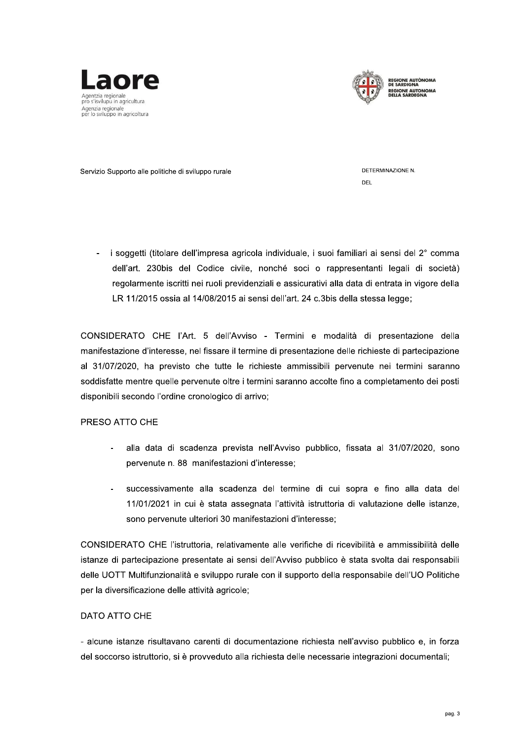



Servizio Supporto alle politiche di sviluppo rurale

DETERMINAZIONE N. DEL

i soggetti (titolare dell'impresa agricola individuale, i suoi familiari ai sensi del 2° comma  $\,$ dell'art. 230bis del Codice civile, nonché soci o rappresentanti legali di società) regolarmente iscritti nei ruoli previdenziali e assicurativi alla data di entrata in vigore della LR 11/2015 ossia al 14/08/2015 ai sensi dell'art. 24 c.3bis della stessa legge:

CONSIDERATO CHE l'Art. 5 dell'Avviso - Termini e modalità di presentazione della manifestazione d'interesse, nel fissare il termine di presentazione delle richieste di partecipazione al 31/07/2020, ha previsto che tutte le richieste ammissibili pervenute nei termini saranno soddisfatte mentre quelle pervenute oltre i termini saranno accolte fino a completamento dei posti disponibili secondo l'ordine cronologico di arrivo;

# PRESO ATTO CHE

- alla data di scadenza prevista nell'Avviso pubblico, fissata al 31/07/2020, sono pervenute n. 88 manifestazioni d'interesse;
- successivamente alla scadenza del termine di cui sopra e fino alla data del 11/01/2021 in cui è stata assegnata l'attività istruttoria di valutazione delle istanze, sono pervenute ulteriori 30 manifestazioni d'interesse;

CONSIDERATO CHE l'istruttoria, relativamente alle verifiche di ricevibilità e ammissibilità delle istanze di partecipazione presentate ai sensi dell'Avviso pubblico è stata svolta dai responsabili delle UOTT Multifunzionalità e sviluppo rurale con il supporto della responsabile dell'UO Politiche per la diversificazione delle attività agricole;

# DATO ATTO CHE

- alcune istanze risultavano carenti di documentazione richiesta nell'avviso pubblico e, in forza del soccorso istruttorio, si è provveduto alla richiesta delle necessarie integrazioni documentali;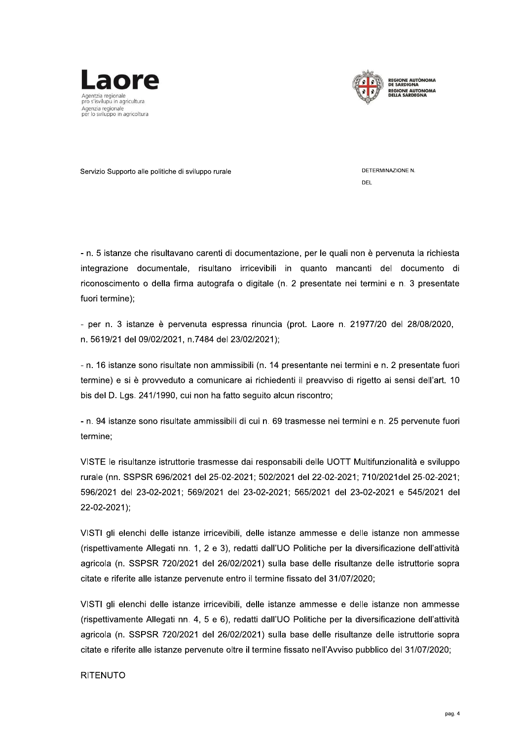



Servizio Supporto alle politiche di sviluppo rurale

DETERMINAZIONE N DEL

- n. 5 istanze che risultavano carenti di documentazione, per le quali non è pervenuta la richiesta integrazione documentale, risultano irricevibili in quanto mancanti del documento di riconoscimento o della firma autografa o digitale (n. 2 presentate nei termini e n. 3 presentate fuori termine);

- per n. 3 istanze è pervenuta espressa rinuncia (prot. Laore n. 21977/20 del 28/08/2020, n. 5619/21 del 09/02/2021, n.7484 del 23/02/2021);

- n. 16 istanze sono risultate non ammissibili (n. 14 presentante nei termini e n. 2 presentate fuori termine) e si è provveduto a comunicare ai richiedenti il preavviso di rigetto ai sensi dell'art. 10 bis del D. Lgs. 241/1990, cui non ha fatto seguito alcun riscontro;

- n. 94 istanze sono risultate ammissibili di cui n. 69 trasmesse nei termini e n. 25 pervenute fuori termine;

VISTE le risultanze istruttorie trasmesse dai responsabili delle UOTT Multifunzionalità e sviluppo rurale (nn. SSPSR 696/2021 del 25-02-2021: 502/2021 del 22-02-2021: 710/2021del 25-02-2021: 596/2021 del 23-02-2021; 569/2021 del 23-02-2021; 565/2021 del 23-02-2021 e 545/2021 del 22-02-2021);

VISTI gli elenchi delle istanze irricevibili, delle istanze ammesse e delle istanze non ammesse (rispettivamente Allegati nn. 1, 2 e 3), redatti dall'UO Politiche per la diversificazione dell'attività agricola (n. SSPSR 720/2021 del 26/02/2021) sulla base delle risultanze delle istruttorie sopra citate e riferite alle istanze pervenute entro il termine fissato del 31/07/2020;

VISTI gli elenchi delle istanze irricevibili, delle istanze ammesse e delle istanze non ammesse (rispettivamente Allegati nn. 4, 5 e 6), redatti dall'UO Politiche per la diversificazione dell'attività agricola (n. SSPSR 720/2021 del 26/02/2021) sulla base delle risultanze delle istruttorie sopra citate e riferite alle istanze pervenute oltre il termine fissato nell'Avviso pubblico del 31/07/2020;

# **RITENUTO**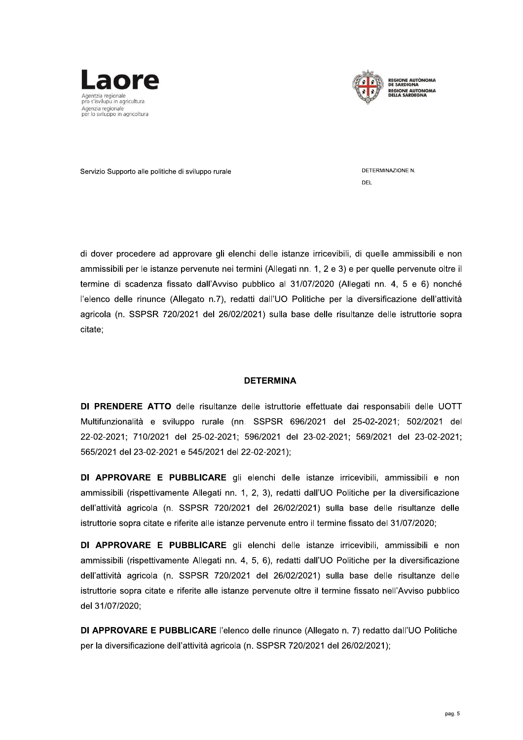



Servizio Supporto alle politiche di sviluppo rural

DETERMINAZIONE N. DEL

di dover procedere ad approvare gli elenchi delle istanze irricevibili, di quelle ammissibili e non ammissibili per le istanze pervenute nel termini (Allegati i elenchi delle istanze irricevibili, di quelle an<br>
ei termini (Allegati nn. 1, 2 e 3) e per quelle p<br>
iso pubblico al 31/07/2020 (Allegati nn. 4,<br>
redatti dall'UO Politiche per la diversificazi<br>
5/02/2021) sulla base delle di dover procedere ad approvare gli elenchi delle istanze irricevibili, di quelle ammissibili e non<br>ammissibili per le istanze pervenute nei termini (Allegati nn. 1, 2 e 3) e per quelle pervenute oltre il<br>termine di scaden termine di scadenza fissato dall'Avviso pubblico al 31/07/2020 (Allegati nn. 4, 5 e 6) nonché  $\overline{\phantom{a}}$ rele de rinunce (Allegato n. $\overline{\phantom{a}}$ ), redatti dali UO Politiche per la diversificazione dell'attività di dover procedere ad approvare gli elenchi delle istanze irricevibi<br>ammissibili per le istanze pervenute nei termini (Allegati nn. 1, 2 e 3)<br>termine di scadenza fissato dall'Avviso pubblico al 31/07/2020 (A<br>
l'elenco dell isuitanze delle istruttorie sopra citate;

# **DETERMINA**

**DI PRENDERE ATTO** delle risultanze delle istruttorie effettuate dal responsabili delle UOTT iviultifunzionalita e sviluppo rura **DETERMINA**<br> **DETERMINA**<br>
Multifunzionalită e sviuppo rurale (nn. SSPSR 696/2021 del 25-02-2021; 502/2021 del 22-02-2021;<br>
22-02-2021; 710/2021 del 25-02-2021; 596/2021 del 23-02-2021; 569/2021 del 23-02-2021;<br> **DI APPROVA** 

anze irricevibili, ammissibili e non ammissibili (rispettivamente Allegati i Multifunzionalità e sviluppo rurale (nn. SSPSR 696/2021 del 25-02-2021; 502/2021 del 22-02-2021; 502/2021 del 23-02-2021; 502/2021 del 23-02-2021; 565/2021 del 23-02-2021; 565/2021 del 23-02-2021; 565/2021 del 23-02-2021; isuitanze delle istruttorie sopra citate e riferite alle istanze pervenute entro il termine fissato

10/2021 del 25-02-2021; 596/2021 del 23-02-2021; 569/2021 del 25-02-2021; 596/2021 del 23-02-2021; 569/2021 del 33-02-2021 e 545/2021 del 22-02-2021;<br>RE E PUBBLICARE gli elenchi delle istanze irricevibili, ammi<br>pettivament EF OF EXERT, TRENCE CITEDERT, COSENCET CITED CE OF EXERT, COSENCET CONTERT, 1999-1999, 1999-1999, 1999-1999, 1919<br> **DI APPROVARE E PUBBLICARE** gli elenchi delle istanze irricevibili, ammissibili e non<br>
ammissibili (rispett anze irricevibili, ammissibili e non ammissibili (rispettivamente Allegati nn. 4, 5, 6), redatti dall'UO Politiche per la diversificazione dell'attività agricola (n. SSPSR 720/2021 del 26/02/2021) sulla base delle risultanze delle pettivamente Allegati nn. 1, 2, 3), redatti dall'UO Politiche per la di<br>icola (n. SSPSR 720/2021 del 26/02/2021) sulla base delle ris<br>icola (n. SSPSR 720/2021 del 26/02/2021) sulla base delle ris<br>**RE E PUBBLICARE** gli elen istruπorie sopra struttorie sopra citate e rirente alle istanze pervenute entro il termine fissato del 31/0//2020;<br> **DI APPROVARE E PUBBLICARE** gli elenchi delle istanze irricevibili, ammissibili e non<br>
ammissibili (rispettivamente Allegat animissioni (ispectivalite) regadition. 4, 0, 0), redatti dali OO Tolitorie per la diversificazione dell'attività agricola (n. SSPSR 720/2021 del 26/02/2021) sulla base delle risultanze delle istruttorie sopra citate e rif

DI APPROVARE E PUBBLICARE l'elenco delle rinunce (Allegato n. 7) redatto dall'UO Politiche